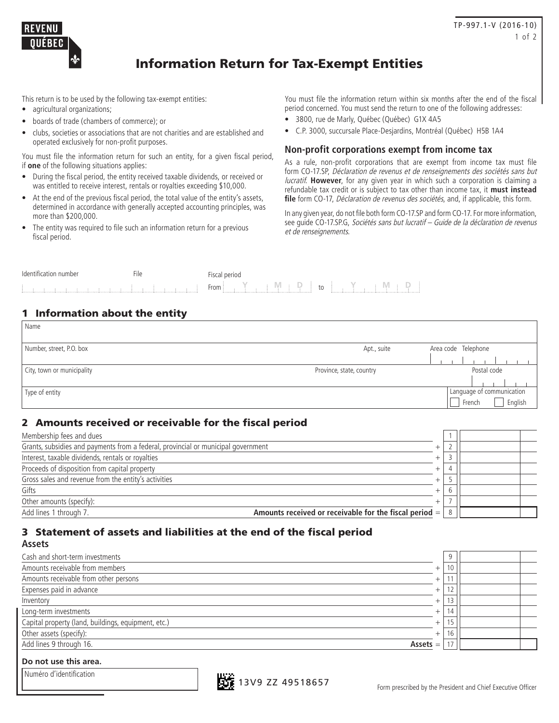

# Information Return for Tax-Exempt Entities

This return is to be used by the following tax-exempt entities:

- agricultural organizations;
- boards of trade (chambers of commerce); or
- clubs, societies or associations that are not charities and are established and operated exclusively for non-profit purposes.

You must file the information return for such an entity, for a given fiscal period, if **one** of the following situations applies:

- During the fiscal period, the entity received taxable dividends, or received or was entitled to receive interest, rentals or royalties exceeding \$10,000.
- At the end of the previous fiscal period, the total value of the entity's assets, determined in accordance with generally accepted accounting principles, was more than \$200,000.
- The entity was required to file such an information return for a previous fiscal period.

You must file the information return within six months after the end of the fiscal period concerned. You must send the return to one of the following addresses:

- 3800, rue de Marly, Québec (Québec) G1X 4A5
- C.P. 3000, succursale Place-Desjardins, Montréal (Québec) H5B 1A4

#### **Non-profit corporations exempt from income tax**

As a rule, non-profit corporations that are exempt from income tax must file form CO-17.SP, Déclaration de revenus et de renseignements des sociétés sans but lucratif. **However**, for any given year in which such a corporation is claiming a refundable tax credit or is subject to tax other than income tax, it **must instead**  file form CO-17, *Déclaration de revenus des sociétés*, and, if applicable, this form.

In any given year, do not file both form CO-17.SP and form CO-17. For more information, see guide CO-17.SP.G, Sociétés sans but lucratif – Guide de la déclaration de revenus et de renseignements.

| lden<br><b>IUIIIV</b> U | - -<br>-- | DALIO<br>$\overline{\phantom{a}}$<br>penda |  |
|-------------------------|-----------|--------------------------------------------|--|
|                         |           | From<br>$\sim$<br>ιU                       |  |

## 1 Information about the entity

| Name                       |                          |                           |
|----------------------------|--------------------------|---------------------------|
| Number, street, P.O. box   | Apt., suite              | Area code Telephone       |
|                            |                          |                           |
| City, town or municipality | Province, state, country | Postal code               |
|                            |                          |                           |
| Type of entity             |                          | Language of communication |
|                            |                          | English<br>French         |

## 2 Amounts received or receivable for the fiscal period

| Membership fees and dues                                                                   |  |  |
|--------------------------------------------------------------------------------------------|--|--|
| Grants, subsidies and payments from a federal, provincial or municipal government          |  |  |
| Interest, taxable dividends, rentals or royalties                                          |  |  |
| Proceeds of disposition from capital property                                              |  |  |
| Gross sales and revenue from the entity's activities                                       |  |  |
| Gifts                                                                                      |  |  |
| Other amounts (specify):                                                                   |  |  |
| Add lines 1 through 7.<br>Amounts received or receivable for the fiscal period $=$ $\vert$ |  |  |

#### 3 Statement of assets and liabilities at the end of the fiscal period **Assets**

| Cash and short-term investments                     |            | 9              |  |
|-----------------------------------------------------|------------|----------------|--|
| Amounts receivable from members                     | $^+$       | 10             |  |
| Amounts receivable from other persons               | $^{+}$     |                |  |
| Expenses paid in advance                            | +          | $\sim$         |  |
| Inventory                                           | $^+$       |                |  |
| Long-term investments                               |            |                |  |
| Capital property (land, buildings, equipment, etc.) |            | 1 <sub>5</sub> |  |
| Other assets (specify):                             | $^+$       | 16             |  |
| Add lines 9 through 16.                             | $Assets =$ |                |  |
|                                                     |            |                |  |

#### **Do not use this area.**

|  |  | Numéro d'identification |  |
|--|--|-------------------------|--|
|--|--|-------------------------|--|